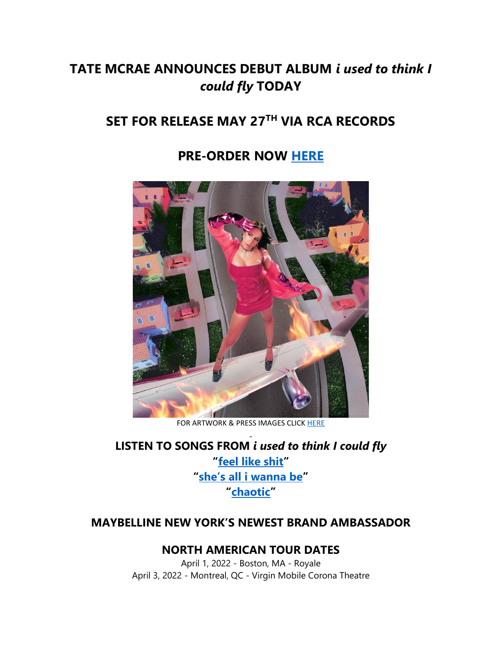## **TATE MCRAE ANNOUNCES DEBUT ALBUM** *i used to think I could fly* **TODAY**

# **SET FOR RELEASE MAY 27TH VIA RCA RECORDS**

## **PRE-ORDER NOW [HERE](https://eur01.safelinks.protection.outlook.com/?url=https%3A%2F%2Ftatemcrae.lnk.to%2Fiutticf&data=04%7C01%7Cnoelle.janasiewicz.sme%40sonymusic.com%7C33a8ccaefe95489ef8e708da1418c04c%7Cf0aff3b791a54aaeaf71c63e1dda2049%7C0%7C0%7C637844393791315940%7CUnknown%7CTWFpbGZsb3d8eyJWIjoiMC4wLjAwMDAiLCJQIjoiV2luMzIiLCJBTiI6Ik1haWwiLCJXVCI6Mn0%3D%7C3000&sdata=cZqHezbrQUTM5%2FeWmngQu525mdzPwWhZocOlqdAx5dg%3D&reserved=0)**



FOR ARTWORK & PRESS IMAGES CLICK [HERE](https://eur01.safelinks.protection.outlook.com/?url=https%3A%2F%2Fapp.box.com%2Fs%2Fw8rlatnxuigwtgjig9hidz7aaidqyuns&data=04%7C01%7Cnoelle.janasiewicz.sme%40sonymusic.com%7C33a8ccaefe95489ef8e708da1418c04c%7Cf0aff3b791a54aaeaf71c63e1dda2049%7C0%7C0%7C637844393791315940%7CUnknown%7CTWFpbGZsb3d8eyJWIjoiMC4wLjAwMDAiLCJQIjoiV2luMzIiLCJBTiI6Ik1haWwiLCJXVCI6Mn0%3D%7C3000&sdata=W15YnK6mSSnAgmTdC0PbAcPUtJQ9uecM%2Fw4Li3iyEGQ%3D&reserved=0)

**LISTEN TO SONGS FROM** *i used to think I could fly* **"[feel like shit](https://eur01.safelinks.protection.outlook.com/?url=https%3A%2F%2Fsmarturl.it%2FTatexFLS&data=04%7C01%7Cnoelle.janasiewicz.sme%40sonymusic.com%7C33a8ccaefe95489ef8e708da1418c04c%7Cf0aff3b791a54aaeaf71c63e1dda2049%7C0%7C0%7C637844393791315940%7CUnknown%7CTWFpbGZsb3d8eyJWIjoiMC4wLjAwMDAiLCJQIjoiV2luMzIiLCJBTiI6Ik1haWwiLCJXVCI6Mn0%3D%7C3000&sdata=qURK2nPcTDuXDr1IOTOp1bZ57XRFju8Kc9yEFSawqAo%3D&reserved=0)" ["she's all i wanna be"](https://eur01.safelinks.protection.outlook.com/?url=https%3A%2F%2Fwww.youtube.com%2Fwatch%3Fv%3DuS_y_65CcpA&data=04%7C01%7Cnoelle.janasiewicz.sme%40sonymusic.com%7C33a8ccaefe95489ef8e708da1418c04c%7Cf0aff3b791a54aaeaf71c63e1dda2049%7C0%7C0%7C637844393791315940%7CUnknown%7CTWFpbGZsb3d8eyJWIjoiMC4wLjAwMDAiLCJQIjoiV2luMzIiLCJBTiI6Ik1haWwiLCJXVCI6Mn0%3D%7C3000&sdata=DT5XP3ePaf2qHPRAWiWZKqa5wd7Il2TJtqqb6CAA9eA%3D&reserved=0) "[chaotic](https://eur01.safelinks.protection.outlook.com/?url=https%3A%2F%2Ftatemcrae.lnk.to%2Fxchaoticx&data=04%7C01%7Cnoelle.janasiewicz.sme%40sonymusic.com%7C33a8ccaefe95489ef8e708da1418c04c%7Cf0aff3b791a54aaeaf71c63e1dda2049%7C0%7C0%7C637844393791315940%7CUnknown%7CTWFpbGZsb3d8eyJWIjoiMC4wLjAwMDAiLCJQIjoiV2luMzIiLCJBTiI6Ik1haWwiLCJXVCI6Mn0%3D%7C3000&sdata=xhmk5FZadPdPmKnBwsIAw1IosQvXpw%2B05gOO%2F2oXQZ4%3D&reserved=0)"**

### **MAYBELLINE NEW YORK'S NEWEST BRAND AMBASSADOR**

### **NORTH AMERICAN TOUR DATES**

April 1, 2022 - Boston, MA - Royale April 3, 2022 - Montreal, QC - Virgin Mobile Corona Theatre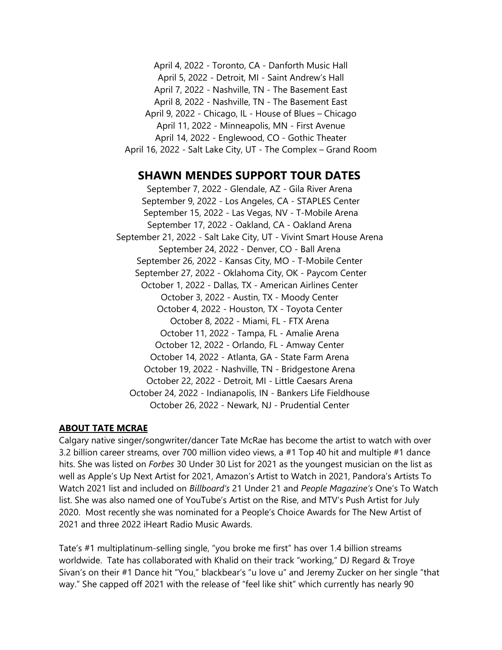April 4, 2022 - Toronto, CA - Danforth Music Hall April 5, 2022 - Detroit, MI - Saint Andrew's Hall April 7, 2022 - Nashville, TN - The Basement East April 8, 2022 - Nashville, TN - The Basement East April 9, 2022 - Chicago, IL - House of Blues – Chicago April 11, 2022 - Minneapolis, MN - First Avenue April 14, 2022 - Englewood, CO - Gothic Theater April 16, 2022 - Salt Lake City, UT - The Complex – Grand Room

#### **SHAWN MENDES SUPPORT TOUR DATES**

September 7, 2022 - Glendale, AZ - Gila River Arena September 9, 2022 - Los Angeles, CA - STAPLES Center September 15, 2022 - Las Vegas, NV - T-Mobile Arena September 17, 2022 - Oakland, CA - Oakland Arena September 21, 2022 - Salt Lake City, UT - Vivint Smart House Arena September 24, 2022 - Denver, CO - Ball Arena September 26, 2022 - Kansas City, MO - T-Mobile Center September 27, 2022 - Oklahoma City, OK - Paycom Center October 1, 2022 - Dallas, TX - American Airlines Center October 3, 2022 - Austin, TX - Moody Center October 4, 2022 - Houston, TX - Toyota Center October 8, 2022 - Miami, FL - FTX Arena October 11, 2022 - Tampa, FL - Amalie Arena October 12, 2022 - Orlando, FL - Amway Center October 14, 2022 - Atlanta, GA - State Farm Arena October 19, 2022 - Nashville, TN - Bridgestone Arena October 22, 2022 - Detroit, MI - Little Caesars Arena October 24, 2022 - Indianapolis, IN - Bankers Life Fieldhouse October 26, 2022 - Newark, NJ - Prudential Center

#### **ABOUT TATE MCRAE**

Calgary native singer/songwriter/dancer Tate McRae has become the artist to watch with over 3.2 billion career streams, over 700 million video views, a #1 Top 40 hit and multiple #1 dance hits. She was listed on *Forbes* 30 Under 30 List for 2021 as the youngest musician on the list as well as Apple's Up Next Artist for 2021, Amazon's Artist to Watch in 2021, Pandora's Artists To Watch 2021 list and included on *Billboard's* 21 Under 21 and *People Magazine's* One's To Watch list. She was also named one of YouTube's Artist on the Rise, and MTV's Push Artist for July 2020. Most recently she was nominated for a People's Choice Awards for The New Artist of 2021 and three 2022 iHeart Radio Music Awards.

Tate's #1 multiplatinum-selling single, "you broke me first" has over 1.4 billion streams worldwide. Tate has collaborated with Khalid on their track "working," DJ Regard & Troye Sivan's on their #1 Dance hit "You," blackbear's "u love u" and Jeremy Zucker on her single "that way." She capped off 2021 with the release of "feel like shit" which currently has nearly 90